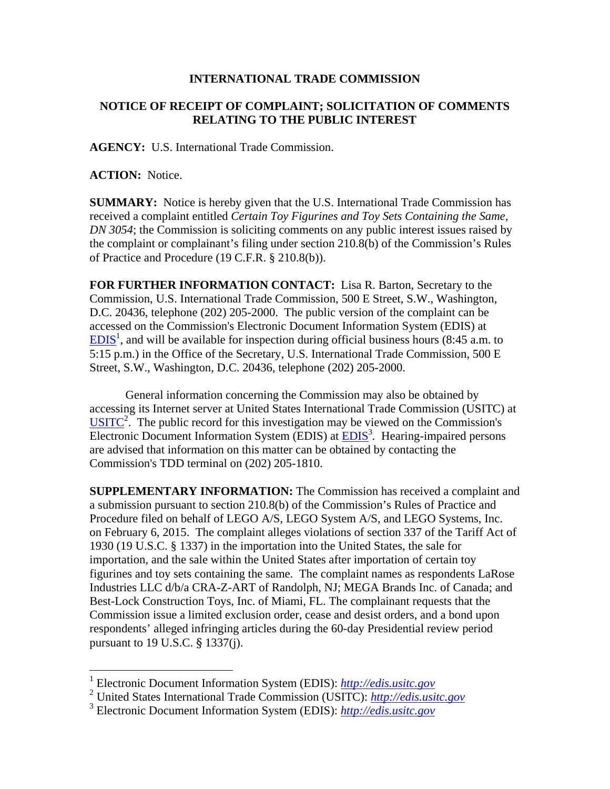## **INTERNATIONAL TRADE COMMISSION**

## **NOTICE OF RECEIPT OF COMPLAINT; SOLICITATION OF COMMENTS RELATING TO THE PUBLIC INTEREST**

**AGENCY:** U.S. International Trade Commission.

**ACTION:** Notice.

 $\overline{a}$ 

**SUMMARY:** Notice is hereby given that the U.S. International Trade Commission has received a complaint entitled *Certain Toy Figurines and Toy Sets Containing the Same, DN 3054*; the Commission is soliciting comments on any public interest issues raised by the complaint or complainant's filing under section 210.8(b) of the Commission's Rules of Practice and Procedure (19 C.F.R. § 210.8(b)).

**FOR FURTHER INFORMATION CONTACT:** Lisa R. Barton, Secretary to the Commission, U.S. International Trade Commission, 500 E Street, S.W., Washington, D.C. 20436, telephone (202) 205-2000. The public version of the complaint can be accessed on the Commission's Electronic Document Information System (EDIS) at  $EDIS<sup>1</sup>$ , and will be available for inspection during official business hours (8:45 a.m. to 5:15 p.m.) in the Office of the Secretary, U.S. International Trade Commission, 500 E Street, S.W., Washington, D.C. 20436, telephone (202) 205-2000.

General information concerning the Commission may also be obtained by accessing its Internet server at United States International Trade Commission (USITC) at  $\overline{USITC}^2$ . The public record for this investigation may be viewed on the Commission's Electronic Document Information System (EDIS) at **EDIS**<sup>3</sup>. Hearing-impaired persons are advised that information on this matter can be obtained by contacting the Commission's TDD terminal on (202) 205-1810.

**SUPPLEMENTARY INFORMATION:** The Commission has received a complaint and a submission pursuant to section 210.8(b) of the Commission's Rules of Practice and Procedure filed on behalf of LEGO A/S, LEGO System A/S, and LEGO Systems, Inc. on February 6, 2015. The complaint alleges violations of section 337 of the Tariff Act of 1930 (19 U.S.C. § 1337) in the importation into the United States, the sale for importation, and the sale within the United States after importation of certain toy figurines and toy sets containing the same. The complaint names as respondents LaRose Industries LLC d/b/a CRA-Z-ART of Randolph, NJ; MEGA Brands Inc. of Canada; and Best-Lock Construction Toys, Inc. of Miami, FL. The complainant requests that the Commission issue a limited exclusion order, cease and desist orders, and a bond upon respondents' alleged infringing articles during the 60-day Presidential review period pursuant to 19 U.S.C. § 1337(j).

<sup>1</sup> Electronic Document Information System (EDIS): *http://edis.usitc.gov*

<sup>2</sup> United States International Trade Commission (USITC): *http://edis.usitc.gov*

<sup>3</sup> Electronic Document Information System (EDIS): *http://edis.usitc.gov*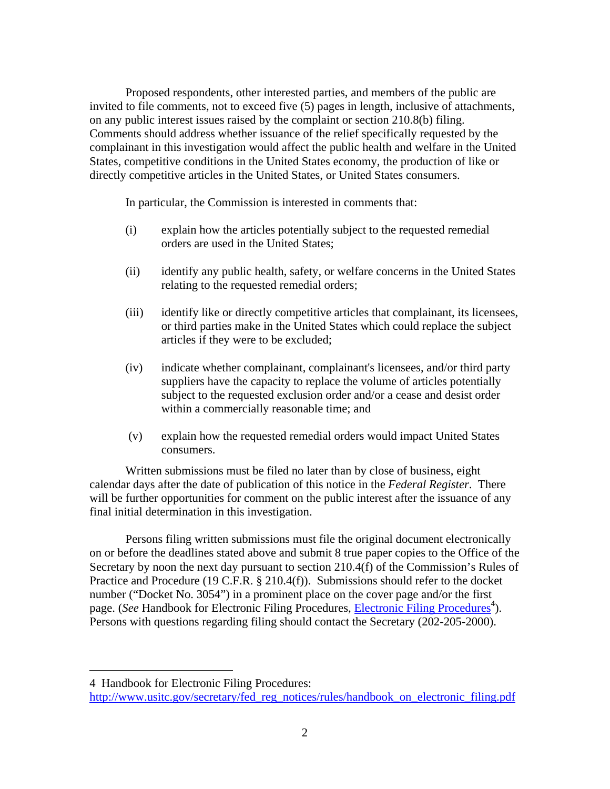Proposed respondents, other interested parties, and members of the public are invited to file comments, not to exceed five (5) pages in length, inclusive of attachments, on any public interest issues raised by the complaint or section 210.8(b) filing. Comments should address whether issuance of the relief specifically requested by the complainant in this investigation would affect the public health and welfare in the United States, competitive conditions in the United States economy, the production of like or directly competitive articles in the United States, or United States consumers.

In particular, the Commission is interested in comments that:

- (i) explain how the articles potentially subject to the requested remedial orders are used in the United States;
- (ii) identify any public health, safety, or welfare concerns in the United States relating to the requested remedial orders;
- (iii) identify like or directly competitive articles that complainant, its licensees, or third parties make in the United States which could replace the subject articles if they were to be excluded;
- (iv) indicate whether complainant, complainant's licensees, and/or third party suppliers have the capacity to replace the volume of articles potentially subject to the requested exclusion order and/or a cease and desist order within a commercially reasonable time; and
- (v) explain how the requested remedial orders would impact United States consumers.

Written submissions must be filed no later than by close of business, eight calendar days after the date of publication of this notice in the *Federal Register*. There will be further opportunities for comment on the public interest after the issuance of any final initial determination in this investigation.

Persons filing written submissions must file the original document electronically on or before the deadlines stated above and submit 8 true paper copies to the Office of the Secretary by noon the next day pursuant to section 210.4(f) of the Commission's Rules of Practice and Procedure (19 C.F.R. § 210.4(f)). Submissions should refer to the docket number ("Docket No. 3054") in a prominent place on the cover page and/or the first page. (*See* Handbook for Electronic Filing Procedures, *Electronic Filing Procedures*<sup>4</sup>). Persons with questions regarding filing should contact the Secretary (202-205-2000).

 $\overline{a}$ 

<sup>4</sup> Handbook for Electronic Filing Procedures:

http://www.usitc.gov/secretary/fed\_reg\_notices/rules/handbook\_on\_electronic\_filing.pdf